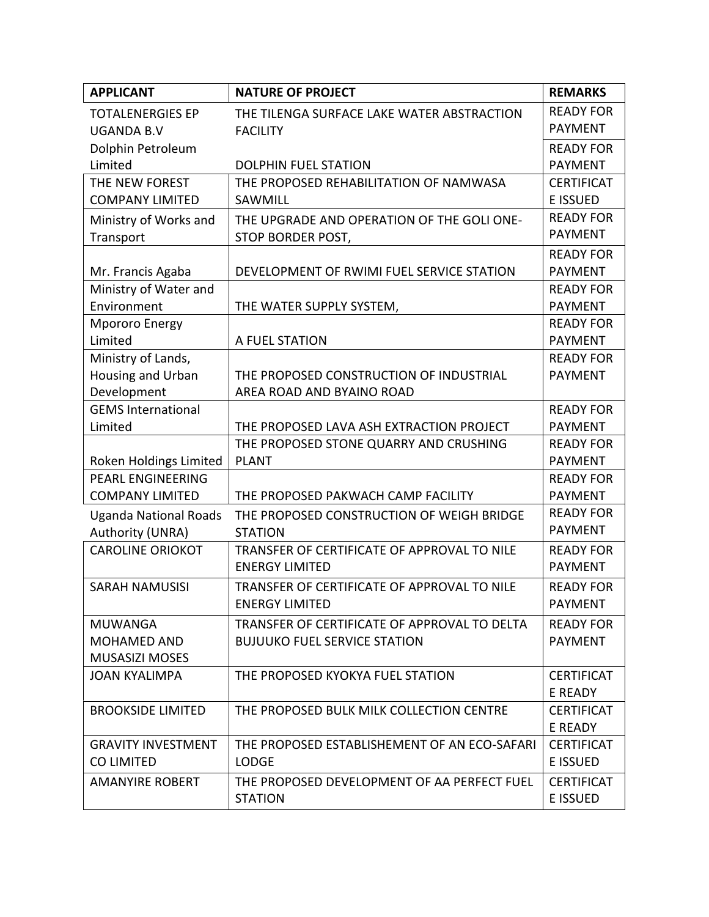| <b>APPLICANT</b>                               | <b>NATURE OF PROJECT</b>                                     | <b>REMARKS</b>                     |
|------------------------------------------------|--------------------------------------------------------------|------------------------------------|
| <b>TOTALENERGIES EP</b>                        | THE TILENGA SURFACE LAKE WATER ABSTRACTION                   | <b>READY FOR</b>                   |
| <b>UGANDA B.V</b>                              | <b>FACILITY</b>                                              | <b>PAYMENT</b>                     |
| Dolphin Petroleum                              |                                                              | <b>READY FOR</b>                   |
| Limited                                        | <b>DOLPHIN FUEL STATION</b>                                  | <b>PAYMENT</b>                     |
| THE NEW FOREST                                 | THE PROPOSED REHABILITATION OF NAMWASA                       | <b>CERTIFICAT</b>                  |
| <b>COMPANY LIMITED</b>                         | SAWMILL                                                      | <b>E ISSUED</b>                    |
| Ministry of Works and                          | THE UPGRADE AND OPERATION OF THE GOLI ONE-                   | <b>READY FOR</b>                   |
| Transport                                      | STOP BORDER POST,                                            | <b>PAYMENT</b>                     |
|                                                |                                                              | <b>READY FOR</b>                   |
| Mr. Francis Agaba                              | DEVELOPMENT OF RWIMI FUEL SERVICE STATION                    | <b>PAYMENT</b>                     |
| Ministry of Water and                          |                                                              | <b>READY FOR</b>                   |
| Environment                                    | THE WATER SUPPLY SYSTEM,                                     | <b>PAYMENT</b>                     |
| <b>Mpororo Energy</b>                          |                                                              | <b>READY FOR</b>                   |
| Limited                                        | A FUEL STATION                                               | <b>PAYMENT</b>                     |
| Ministry of Lands,                             |                                                              | <b>READY FOR</b>                   |
| Housing and Urban                              | THE PROPOSED CONSTRUCTION OF INDUSTRIAL                      | <b>PAYMENT</b>                     |
| Development                                    | AREA ROAD AND BYAINO ROAD                                    |                                    |
| <b>GEMS International</b>                      |                                                              | <b>READY FOR</b>                   |
| Limited                                        | THE PROPOSED LAVA ASH EXTRACTION PROJECT                     | <b>PAYMENT</b>                     |
|                                                | THE PROPOSED STONE QUARRY AND CRUSHING                       | <b>READY FOR</b>                   |
| Roken Holdings Limited                         | <b>PLANT</b>                                                 | <b>PAYMENT</b>                     |
| <b>PEARL ENGINEERING</b>                       |                                                              | <b>READY FOR</b>                   |
| <b>COMPANY LIMITED</b>                         | THE PROPOSED PAKWACH CAMP FACILITY                           | <b>PAYMENT</b>                     |
| <b>Uganda National Roads</b>                   | THE PROPOSED CONSTRUCTION OF WEIGH BRIDGE                    | <b>READY FOR</b><br><b>PAYMENT</b> |
| Authority (UNRA)                               | <b>STATION</b>                                               |                                    |
| <b>CAROLINE ORIOKOT</b>                        | TRANSFER OF CERTIFICATE OF APPROVAL TO NILE                  | <b>READY FOR</b>                   |
|                                                | <b>ENERGY LIMITED</b>                                        | <b>PAYMENT</b>                     |
| <b>SARAH NAMUSISI</b>                          | TRANSFER OF CERTIFICATE OF APPROVAL TO NILE                  | <b>READY FOR</b>                   |
|                                                | <b>ENERGY LIMITED</b>                                        | <b>PAYMENT</b>                     |
| <b>MUWANGA</b>                                 | TRANSFER OF CERTIFICATE OF APPROVAL TO DELTA                 | <b>READY FOR</b>                   |
| <b>MOHAMED AND</b>                             | <b>BUJUUKO FUEL SERVICE STATION</b>                          | <b>PAYMENT</b>                     |
| <b>MUSASIZI MOSES</b>                          |                                                              |                                    |
| <b>JOAN KYALIMPA</b>                           | THE PROPOSED KYOKYA FUEL STATION                             | <b>CERTIFICAT</b>                  |
|                                                |                                                              | E READY                            |
| <b>BROOKSIDE LIMITED</b>                       | THE PROPOSED BULK MILK COLLECTION CENTRE                     | <b>CERTIFICAT</b>                  |
|                                                |                                                              | E READY                            |
| <b>GRAVITY INVESTMENT</b><br><b>CO LIMITED</b> | THE PROPOSED ESTABLISHEMENT OF AN ECO-SAFARI<br><b>LODGE</b> | <b>CERTIFICAT</b><br>E ISSUED      |
|                                                |                                                              |                                    |
| <b>AMANYIRE ROBERT</b>                         | THE PROPOSED DEVELOPMENT OF AA PERFECT FUEL                  | <b>CERTIFICAT</b>                  |
|                                                | <b>STATION</b>                                               | E ISSUED                           |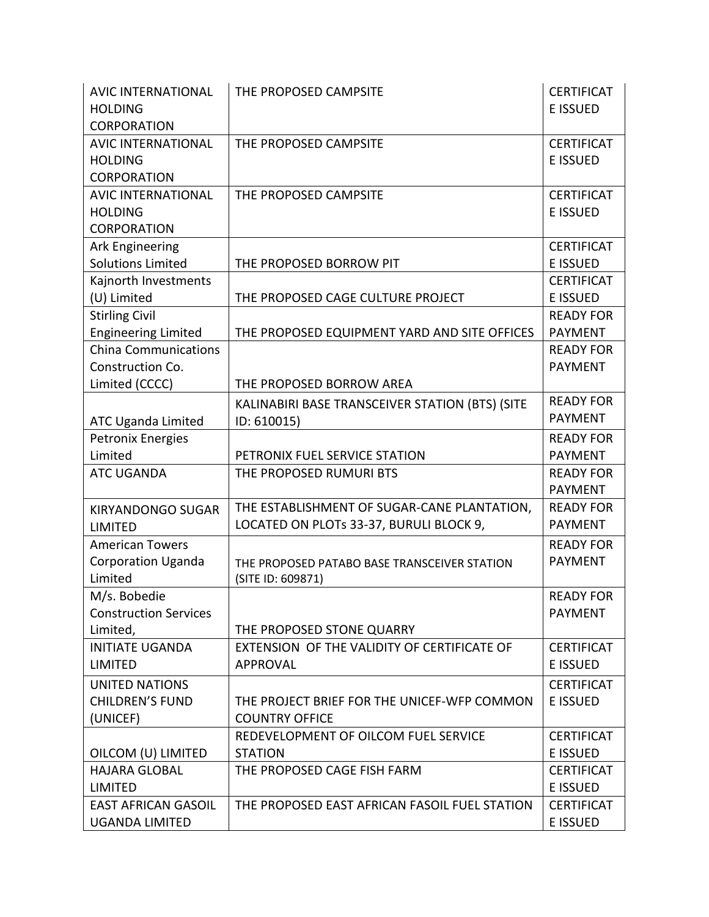| <b>E ISSUED</b><br><b>HOLDING</b><br><b>CORPORATION</b><br><b>AVIC INTERNATIONAL</b><br>THE PROPOSED CAMPSITE<br><b>CERTIFICAT</b><br><b>HOLDING</b><br>E ISSUED<br><b>CORPORATION</b><br>THE PROPOSED CAMPSITE<br><b>CERTIFICAT</b><br><b>AVIC INTERNATIONAL</b><br><b>E ISSUED</b><br><b>HOLDING</b><br><b>CORPORATION</b><br>Ark Engineering<br><b>CERTIFICAT</b><br><b>Solutions Limited</b><br>THE PROPOSED BORROW PIT<br>E ISSUED<br>Kajnorth Investments<br><b>CERTIFICAT</b><br>(U) Limited<br>E ISSUED<br>THE PROPOSED CAGE CULTURE PROJECT<br><b>Stirling Civil</b><br><b>READY FOR</b><br><b>Engineering Limited</b><br>THE PROPOSED EQUIPMENT YARD AND SITE OFFICES<br><b>PAYMENT</b><br><b>China Communications</b><br><b>READY FOR</b><br>Construction Co.<br><b>PAYMENT</b><br>Limited (CCCC)<br>THE PROPOSED BORROW AREA<br><b>READY FOR</b><br>KALINABIRI BASE TRANSCEIVER STATION (BTS) (SITE<br><b>PAYMENT</b><br>ID: 610015)<br>ATC Uganda Limited<br><b>Petronix Energies</b><br><b>READY FOR</b><br>Limited<br>PETRONIX FUEL SERVICE STATION<br><b>PAYMENT</b><br><b>ATC UGANDA</b><br>THE PROPOSED RUMURI BTS<br><b>READY FOR</b><br><b>PAYMENT</b><br>THE ESTABLISHMENT OF SUGAR-CANE PLANTATION,<br><b>READY FOR</b><br><b>KIRYANDONGO SUGAR</b><br>LOCATED ON PLOTs 33-37, BURULI BLOCK 9,<br><b>PAYMENT</b><br><b>LIMITED</b><br><b>American Towers</b><br><b>READY FOR</b><br><b>Corporation Uganda</b><br><b>PAYMENT</b><br>THE PROPOSED PATABO BASE TRANSCEIVER STATION<br>Limited<br>(SITE ID: 609871)<br>M/s. Bobedie<br><b>READY FOR</b><br><b>Construction Services</b><br><b>PAYMENT</b><br>Limited,<br>THE PROPOSED STONE QUARRY<br><b>INITIATE UGANDA</b><br>EXTENSION OF THE VALIDITY OF CERTIFICATE OF<br><b>CERTIFICAT</b><br>E ISSUED<br><b>LIMITED</b><br>APPROVAL<br><b>CERTIFICAT</b><br>UNITED NATIONS<br><b>CHILDREN'S FUND</b><br>E ISSUED<br>THE PROJECT BRIEF FOR THE UNICEF-WFP COMMON<br>(UNICEF)<br><b>COUNTRY OFFICE</b><br>REDEVELOPMENT OF OILCOM FUEL SERVICE<br><b>CERTIFICAT</b><br>OILCOM (U) LIMITED<br>E ISSUED<br><b>STATION</b><br><b>HAJARA GLOBAL</b><br>THE PROPOSED CAGE FISH FARM<br><b>CERTIFICAT</b><br>E ISSUED<br><b>LIMITED</b><br><b>EAST AFRICAN GASOIL</b><br>THE PROPOSED EAST AFRICAN FASOIL FUEL STATION<br><b>CERTIFICAT</b> | <b>AVIC INTERNATIONAL</b> | THE PROPOSED CAMPSITE | <b>CERTIFICAT</b> |
|--------------------------------------------------------------------------------------------------------------------------------------------------------------------------------------------------------------------------------------------------------------------------------------------------------------------------------------------------------------------------------------------------------------------------------------------------------------------------------------------------------------------------------------------------------------------------------------------------------------------------------------------------------------------------------------------------------------------------------------------------------------------------------------------------------------------------------------------------------------------------------------------------------------------------------------------------------------------------------------------------------------------------------------------------------------------------------------------------------------------------------------------------------------------------------------------------------------------------------------------------------------------------------------------------------------------------------------------------------------------------------------------------------------------------------------------------------------------------------------------------------------------------------------------------------------------------------------------------------------------------------------------------------------------------------------------------------------------------------------------------------------------------------------------------------------------------------------------------------------------------------------------------------------------------------------------------------------------------------------------------------------------------------------------------------------------------------------------------------------------------------------------------------------------------------------------------------------------------------------------------------------------------------------------------------------|---------------------------|-----------------------|-------------------|
|                                                                                                                                                                                                                                                                                                                                                                                                                                                                                                                                                                                                                                                                                                                                                                                                                                                                                                                                                                                                                                                                                                                                                                                                                                                                                                                                                                                                                                                                                                                                                                                                                                                                                                                                                                                                                                                                                                                                                                                                                                                                                                                                                                                                                                                                                                              |                           |                       |                   |
|                                                                                                                                                                                                                                                                                                                                                                                                                                                                                                                                                                                                                                                                                                                                                                                                                                                                                                                                                                                                                                                                                                                                                                                                                                                                                                                                                                                                                                                                                                                                                                                                                                                                                                                                                                                                                                                                                                                                                                                                                                                                                                                                                                                                                                                                                                              |                           |                       |                   |
|                                                                                                                                                                                                                                                                                                                                                                                                                                                                                                                                                                                                                                                                                                                                                                                                                                                                                                                                                                                                                                                                                                                                                                                                                                                                                                                                                                                                                                                                                                                                                                                                                                                                                                                                                                                                                                                                                                                                                                                                                                                                                                                                                                                                                                                                                                              |                           |                       |                   |
|                                                                                                                                                                                                                                                                                                                                                                                                                                                                                                                                                                                                                                                                                                                                                                                                                                                                                                                                                                                                                                                                                                                                                                                                                                                                                                                                                                                                                                                                                                                                                                                                                                                                                                                                                                                                                                                                                                                                                                                                                                                                                                                                                                                                                                                                                                              |                           |                       |                   |
|                                                                                                                                                                                                                                                                                                                                                                                                                                                                                                                                                                                                                                                                                                                                                                                                                                                                                                                                                                                                                                                                                                                                                                                                                                                                                                                                                                                                                                                                                                                                                                                                                                                                                                                                                                                                                                                                                                                                                                                                                                                                                                                                                                                                                                                                                                              |                           |                       |                   |
|                                                                                                                                                                                                                                                                                                                                                                                                                                                                                                                                                                                                                                                                                                                                                                                                                                                                                                                                                                                                                                                                                                                                                                                                                                                                                                                                                                                                                                                                                                                                                                                                                                                                                                                                                                                                                                                                                                                                                                                                                                                                                                                                                                                                                                                                                                              |                           |                       |                   |
|                                                                                                                                                                                                                                                                                                                                                                                                                                                                                                                                                                                                                                                                                                                                                                                                                                                                                                                                                                                                                                                                                                                                                                                                                                                                                                                                                                                                                                                                                                                                                                                                                                                                                                                                                                                                                                                                                                                                                                                                                                                                                                                                                                                                                                                                                                              |                           |                       |                   |
|                                                                                                                                                                                                                                                                                                                                                                                                                                                                                                                                                                                                                                                                                                                                                                                                                                                                                                                                                                                                                                                                                                                                                                                                                                                                                                                                                                                                                                                                                                                                                                                                                                                                                                                                                                                                                                                                                                                                                                                                                                                                                                                                                                                                                                                                                                              |                           |                       |                   |
|                                                                                                                                                                                                                                                                                                                                                                                                                                                                                                                                                                                                                                                                                                                                                                                                                                                                                                                                                                                                                                                                                                                                                                                                                                                                                                                                                                                                                                                                                                                                                                                                                                                                                                                                                                                                                                                                                                                                                                                                                                                                                                                                                                                                                                                                                                              |                           |                       |                   |
|                                                                                                                                                                                                                                                                                                                                                                                                                                                                                                                                                                                                                                                                                                                                                                                                                                                                                                                                                                                                                                                                                                                                                                                                                                                                                                                                                                                                                                                                                                                                                                                                                                                                                                                                                                                                                                                                                                                                                                                                                                                                                                                                                                                                                                                                                                              |                           |                       |                   |
|                                                                                                                                                                                                                                                                                                                                                                                                                                                                                                                                                                                                                                                                                                                                                                                                                                                                                                                                                                                                                                                                                                                                                                                                                                                                                                                                                                                                                                                                                                                                                                                                                                                                                                                                                                                                                                                                                                                                                                                                                                                                                                                                                                                                                                                                                                              |                           |                       |                   |
|                                                                                                                                                                                                                                                                                                                                                                                                                                                                                                                                                                                                                                                                                                                                                                                                                                                                                                                                                                                                                                                                                                                                                                                                                                                                                                                                                                                                                                                                                                                                                                                                                                                                                                                                                                                                                                                                                                                                                                                                                                                                                                                                                                                                                                                                                                              |                           |                       |                   |
|                                                                                                                                                                                                                                                                                                                                                                                                                                                                                                                                                                                                                                                                                                                                                                                                                                                                                                                                                                                                                                                                                                                                                                                                                                                                                                                                                                                                                                                                                                                                                                                                                                                                                                                                                                                                                                                                                                                                                                                                                                                                                                                                                                                                                                                                                                              |                           |                       |                   |
|                                                                                                                                                                                                                                                                                                                                                                                                                                                                                                                                                                                                                                                                                                                                                                                                                                                                                                                                                                                                                                                                                                                                                                                                                                                                                                                                                                                                                                                                                                                                                                                                                                                                                                                                                                                                                                                                                                                                                                                                                                                                                                                                                                                                                                                                                                              |                           |                       |                   |
|                                                                                                                                                                                                                                                                                                                                                                                                                                                                                                                                                                                                                                                                                                                                                                                                                                                                                                                                                                                                                                                                                                                                                                                                                                                                                                                                                                                                                                                                                                                                                                                                                                                                                                                                                                                                                                                                                                                                                                                                                                                                                                                                                                                                                                                                                                              |                           |                       |                   |
|                                                                                                                                                                                                                                                                                                                                                                                                                                                                                                                                                                                                                                                                                                                                                                                                                                                                                                                                                                                                                                                                                                                                                                                                                                                                                                                                                                                                                                                                                                                                                                                                                                                                                                                                                                                                                                                                                                                                                                                                                                                                                                                                                                                                                                                                                                              |                           |                       |                   |
|                                                                                                                                                                                                                                                                                                                                                                                                                                                                                                                                                                                                                                                                                                                                                                                                                                                                                                                                                                                                                                                                                                                                                                                                                                                                                                                                                                                                                                                                                                                                                                                                                                                                                                                                                                                                                                                                                                                                                                                                                                                                                                                                                                                                                                                                                                              |                           |                       |                   |
|                                                                                                                                                                                                                                                                                                                                                                                                                                                                                                                                                                                                                                                                                                                                                                                                                                                                                                                                                                                                                                                                                                                                                                                                                                                                                                                                                                                                                                                                                                                                                                                                                                                                                                                                                                                                                                                                                                                                                                                                                                                                                                                                                                                                                                                                                                              |                           |                       |                   |
|                                                                                                                                                                                                                                                                                                                                                                                                                                                                                                                                                                                                                                                                                                                                                                                                                                                                                                                                                                                                                                                                                                                                                                                                                                                                                                                                                                                                                                                                                                                                                                                                                                                                                                                                                                                                                                                                                                                                                                                                                                                                                                                                                                                                                                                                                                              |                           |                       |                   |
|                                                                                                                                                                                                                                                                                                                                                                                                                                                                                                                                                                                                                                                                                                                                                                                                                                                                                                                                                                                                                                                                                                                                                                                                                                                                                                                                                                                                                                                                                                                                                                                                                                                                                                                                                                                                                                                                                                                                                                                                                                                                                                                                                                                                                                                                                                              |                           |                       |                   |
|                                                                                                                                                                                                                                                                                                                                                                                                                                                                                                                                                                                                                                                                                                                                                                                                                                                                                                                                                                                                                                                                                                                                                                                                                                                                                                                                                                                                                                                                                                                                                                                                                                                                                                                                                                                                                                                                                                                                                                                                                                                                                                                                                                                                                                                                                                              |                           |                       |                   |
|                                                                                                                                                                                                                                                                                                                                                                                                                                                                                                                                                                                                                                                                                                                                                                                                                                                                                                                                                                                                                                                                                                                                                                                                                                                                                                                                                                                                                                                                                                                                                                                                                                                                                                                                                                                                                                                                                                                                                                                                                                                                                                                                                                                                                                                                                                              |                           |                       |                   |
|                                                                                                                                                                                                                                                                                                                                                                                                                                                                                                                                                                                                                                                                                                                                                                                                                                                                                                                                                                                                                                                                                                                                                                                                                                                                                                                                                                                                                                                                                                                                                                                                                                                                                                                                                                                                                                                                                                                                                                                                                                                                                                                                                                                                                                                                                                              |                           |                       |                   |
|                                                                                                                                                                                                                                                                                                                                                                                                                                                                                                                                                                                                                                                                                                                                                                                                                                                                                                                                                                                                                                                                                                                                                                                                                                                                                                                                                                                                                                                                                                                                                                                                                                                                                                                                                                                                                                                                                                                                                                                                                                                                                                                                                                                                                                                                                                              |                           |                       |                   |
|                                                                                                                                                                                                                                                                                                                                                                                                                                                                                                                                                                                                                                                                                                                                                                                                                                                                                                                                                                                                                                                                                                                                                                                                                                                                                                                                                                                                                                                                                                                                                                                                                                                                                                                                                                                                                                                                                                                                                                                                                                                                                                                                                                                                                                                                                                              |                           |                       |                   |
|                                                                                                                                                                                                                                                                                                                                                                                                                                                                                                                                                                                                                                                                                                                                                                                                                                                                                                                                                                                                                                                                                                                                                                                                                                                                                                                                                                                                                                                                                                                                                                                                                                                                                                                                                                                                                                                                                                                                                                                                                                                                                                                                                                                                                                                                                                              |                           |                       |                   |
|                                                                                                                                                                                                                                                                                                                                                                                                                                                                                                                                                                                                                                                                                                                                                                                                                                                                                                                                                                                                                                                                                                                                                                                                                                                                                                                                                                                                                                                                                                                                                                                                                                                                                                                                                                                                                                                                                                                                                                                                                                                                                                                                                                                                                                                                                                              |                           |                       |                   |
|                                                                                                                                                                                                                                                                                                                                                                                                                                                                                                                                                                                                                                                                                                                                                                                                                                                                                                                                                                                                                                                                                                                                                                                                                                                                                                                                                                                                                                                                                                                                                                                                                                                                                                                                                                                                                                                                                                                                                                                                                                                                                                                                                                                                                                                                                                              |                           |                       |                   |
|                                                                                                                                                                                                                                                                                                                                                                                                                                                                                                                                                                                                                                                                                                                                                                                                                                                                                                                                                                                                                                                                                                                                                                                                                                                                                                                                                                                                                                                                                                                                                                                                                                                                                                                                                                                                                                                                                                                                                                                                                                                                                                                                                                                                                                                                                                              |                           |                       |                   |
|                                                                                                                                                                                                                                                                                                                                                                                                                                                                                                                                                                                                                                                                                                                                                                                                                                                                                                                                                                                                                                                                                                                                                                                                                                                                                                                                                                                                                                                                                                                                                                                                                                                                                                                                                                                                                                                                                                                                                                                                                                                                                                                                                                                                                                                                                                              |                           |                       |                   |
|                                                                                                                                                                                                                                                                                                                                                                                                                                                                                                                                                                                                                                                                                                                                                                                                                                                                                                                                                                                                                                                                                                                                                                                                                                                                                                                                                                                                                                                                                                                                                                                                                                                                                                                                                                                                                                                                                                                                                                                                                                                                                                                                                                                                                                                                                                              |                           |                       |                   |
|                                                                                                                                                                                                                                                                                                                                                                                                                                                                                                                                                                                                                                                                                                                                                                                                                                                                                                                                                                                                                                                                                                                                                                                                                                                                                                                                                                                                                                                                                                                                                                                                                                                                                                                                                                                                                                                                                                                                                                                                                                                                                                                                                                                                                                                                                                              |                           |                       |                   |
|                                                                                                                                                                                                                                                                                                                                                                                                                                                                                                                                                                                                                                                                                                                                                                                                                                                                                                                                                                                                                                                                                                                                                                                                                                                                                                                                                                                                                                                                                                                                                                                                                                                                                                                                                                                                                                                                                                                                                                                                                                                                                                                                                                                                                                                                                                              |                           |                       |                   |
|                                                                                                                                                                                                                                                                                                                                                                                                                                                                                                                                                                                                                                                                                                                                                                                                                                                                                                                                                                                                                                                                                                                                                                                                                                                                                                                                                                                                                                                                                                                                                                                                                                                                                                                                                                                                                                                                                                                                                                                                                                                                                                                                                                                                                                                                                                              |                           |                       |                   |
|                                                                                                                                                                                                                                                                                                                                                                                                                                                                                                                                                                                                                                                                                                                                                                                                                                                                                                                                                                                                                                                                                                                                                                                                                                                                                                                                                                                                                                                                                                                                                                                                                                                                                                                                                                                                                                                                                                                                                                                                                                                                                                                                                                                                                                                                                                              |                           |                       |                   |
|                                                                                                                                                                                                                                                                                                                                                                                                                                                                                                                                                                                                                                                                                                                                                                                                                                                                                                                                                                                                                                                                                                                                                                                                                                                                                                                                                                                                                                                                                                                                                                                                                                                                                                                                                                                                                                                                                                                                                                                                                                                                                                                                                                                                                                                                                                              |                           |                       |                   |
|                                                                                                                                                                                                                                                                                                                                                                                                                                                                                                                                                                                                                                                                                                                                                                                                                                                                                                                                                                                                                                                                                                                                                                                                                                                                                                                                                                                                                                                                                                                                                                                                                                                                                                                                                                                                                                                                                                                                                                                                                                                                                                                                                                                                                                                                                                              |                           |                       |                   |
|                                                                                                                                                                                                                                                                                                                                                                                                                                                                                                                                                                                                                                                                                                                                                                                                                                                                                                                                                                                                                                                                                                                                                                                                                                                                                                                                                                                                                                                                                                                                                                                                                                                                                                                                                                                                                                                                                                                                                                                                                                                                                                                                                                                                                                                                                                              |                           |                       |                   |
|                                                                                                                                                                                                                                                                                                                                                                                                                                                                                                                                                                                                                                                                                                                                                                                                                                                                                                                                                                                                                                                                                                                                                                                                                                                                                                                                                                                                                                                                                                                                                                                                                                                                                                                                                                                                                                                                                                                                                                                                                                                                                                                                                                                                                                                                                                              |                           |                       |                   |
|                                                                                                                                                                                                                                                                                                                                                                                                                                                                                                                                                                                                                                                                                                                                                                                                                                                                                                                                                                                                                                                                                                                                                                                                                                                                                                                                                                                                                                                                                                                                                                                                                                                                                                                                                                                                                                                                                                                                                                                                                                                                                                                                                                                                                                                                                                              | <b>UGANDA LIMITED</b>     |                       | E ISSUED          |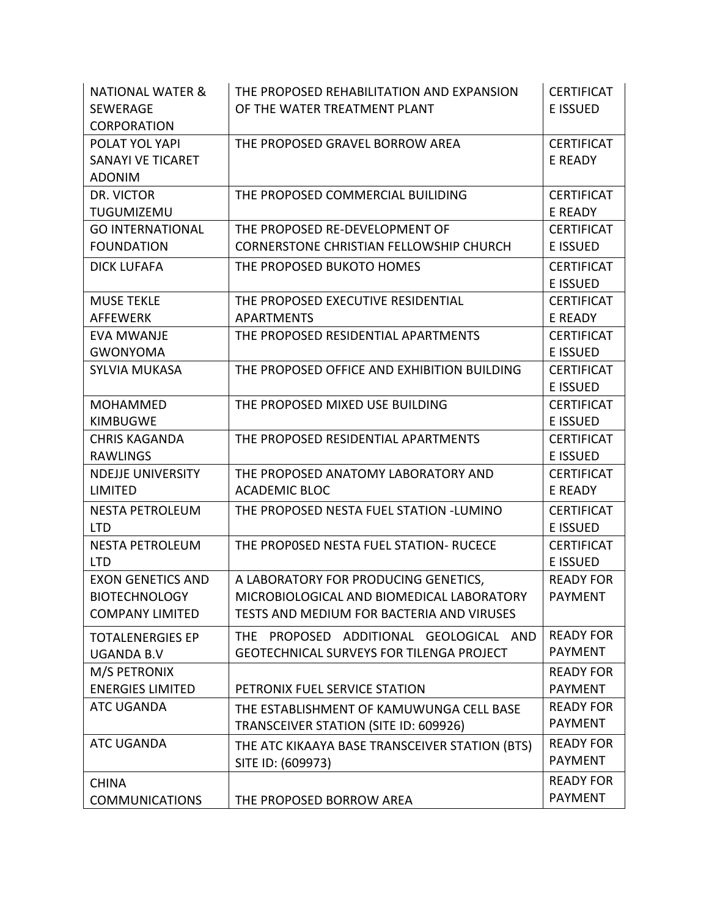| <b>NATIONAL WATER &amp;</b> | THE PROPOSED REHABILITATION AND EXPANSION        | <b>CERTIFICAT</b> |
|-----------------------------|--------------------------------------------------|-------------------|
| <b>SEWERAGE</b>             | OF THE WATER TREATMENT PLANT                     | <b>E ISSUED</b>   |
| <b>CORPORATION</b>          |                                                  |                   |
| POLAT YOL YAPI              | THE PROPOSED GRAVEL BORROW AREA                  | <b>CERTIFICAT</b> |
| <b>SANAYI VE TICARET</b>    |                                                  | <b>E READY</b>    |
| <b>ADONIM</b>               |                                                  |                   |
| DR. VICTOR                  | THE PROPOSED COMMERCIAL BUILIDING                | <b>CERTIFICAT</b> |
| TUGUMIZEMU                  |                                                  | E READY           |
| <b>GO INTERNATIONAL</b>     | THE PROPOSED RE-DEVELOPMENT OF                   | <b>CERTIFICAT</b> |
| <b>FOUNDATION</b>           | <b>CORNERSTONE CHRISTIAN FELLOWSHIP CHURCH</b>   | <b>E ISSUED</b>   |
| <b>DICK LUFAFA</b>          | THE PROPOSED BUKOTO HOMES                        | <b>CERTIFICAT</b> |
|                             |                                                  | E ISSUED          |
| <b>MUSE TEKLE</b>           | THE PROPOSED EXECUTIVE RESIDENTIAL               | <b>CERTIFICAT</b> |
| <b>AFFEWERK</b>             | <b>APARTMENTS</b>                                | E READY           |
| <b>EVA MWANJE</b>           | THE PROPOSED RESIDENTIAL APARTMENTS              | <b>CERTIFICAT</b> |
| <b>GWONYOMA</b>             |                                                  | E ISSUED          |
| <b>SYLVIA MUKASA</b>        | THE PROPOSED OFFICE AND EXHIBITION BUILDING      | <b>CERTIFICAT</b> |
|                             |                                                  | E ISSUED          |
| <b>MOHAMMED</b>             | THE PROPOSED MIXED USE BUILDING                  | <b>CERTIFICAT</b> |
| <b>KIMBUGWE</b>             |                                                  | E ISSUED          |
| <b>CHRIS KAGANDA</b>        | THE PROPOSED RESIDENTIAL APARTMENTS              | <b>CERTIFICAT</b> |
| <b>RAWLINGS</b>             |                                                  | E ISSUED          |
| <b>NDEJJE UNIVERSITY</b>    | THE PROPOSED ANATOMY LABORATORY AND              | <b>CERTIFICAT</b> |
| <b>LIMITED</b>              | <b>ACADEMIC BLOC</b>                             | E READY           |
| <b>NESTA PETROLEUM</b>      | THE PROPOSED NESTA FUEL STATION -LUMINO          | <b>CERTIFICAT</b> |
| <b>LTD</b>                  |                                                  | E ISSUED          |
| <b>NESTA PETROLEUM</b>      | THE PROPOSED NESTA FUEL STATION- RUCECE          | <b>CERTIFICAT</b> |
| <b>LTD</b>                  |                                                  | E ISSUED          |
| <b>EXON GENETICS AND</b>    | A LABORATORY FOR PRODUCING GENETICS,             | <b>READY FOR</b>  |
| <b>BIOTECHNOLOGY</b>        | MICROBIOLOGICAL AND BIOMEDICAL LABORATORY        | <b>PAYMENT</b>    |
| <b>COMPANY LIMITED</b>      | TESTS AND MEDIUM FOR BACTERIA AND VIRUSES        |                   |
| <b>TOTALENERGIES EP</b>     | PROPOSED ADDITIONAL GEOLOGICAL AND<br><b>THF</b> | <b>READY FOR</b>  |
| <b>UGANDA B.V</b>           | <b>GEOTECHNICAL SURVEYS FOR TILENGA PROJECT</b>  | <b>PAYMENT</b>    |
| M/S PETRONIX                |                                                  | <b>READY FOR</b>  |
| <b>ENERGIES LIMITED</b>     | PETRONIX FUEL SERVICE STATION                    | <b>PAYMENT</b>    |
| <b>ATC UGANDA</b>           | THE ESTABLISHMENT OF KAMUWUNGA CELL BASE         | <b>READY FOR</b>  |
|                             | TRANSCEIVER STATION (SITE ID: 609926)            | <b>PAYMENT</b>    |
| <b>ATC UGANDA</b>           | THE ATC KIKAAYA BASE TRANSCEIVER STATION (BTS)   | <b>READY FOR</b>  |
|                             | SITE ID: (609973)                                | <b>PAYMENT</b>    |
| <b>CHINA</b>                |                                                  | <b>READY FOR</b>  |
| <b>COMMUNICATIONS</b>       | THE PROPOSED BORROW AREA                         | <b>PAYMENT</b>    |
|                             |                                                  |                   |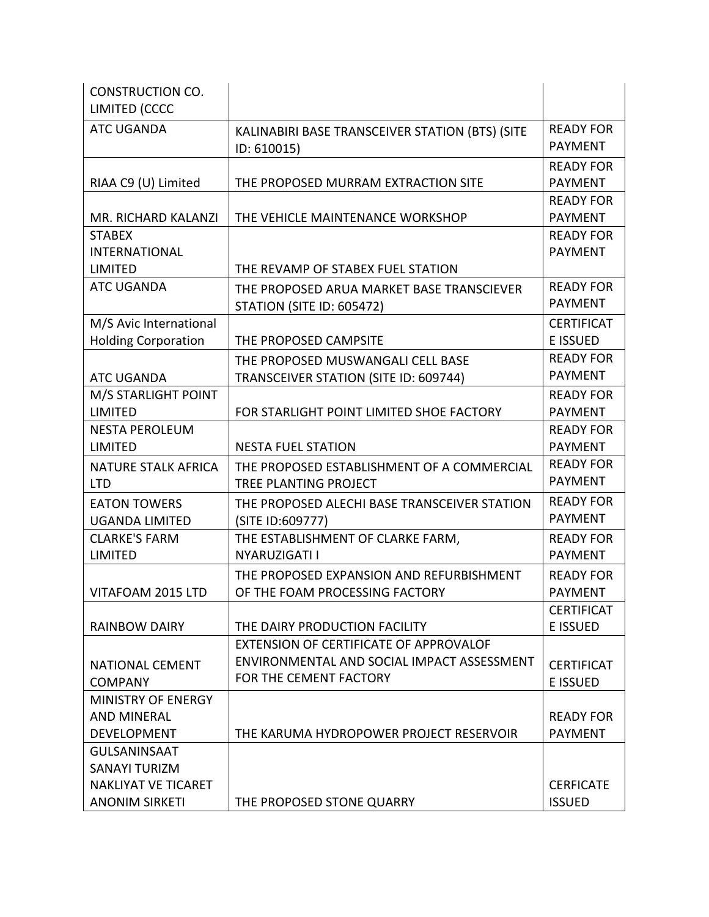| <b>CONSTRUCTION CO.</b>    |                                                 |                   |
|----------------------------|-------------------------------------------------|-------------------|
| LIMITED (CCCC              |                                                 |                   |
| <b>ATC UGANDA</b>          | KALINABIRI BASE TRANSCEIVER STATION (BTS) (SITE | <b>READY FOR</b>  |
|                            | ID: 610015)                                     | <b>PAYMENT</b>    |
|                            |                                                 | <b>READY FOR</b>  |
| RIAA C9 (U) Limited        | THE PROPOSED MURRAM EXTRACTION SITE             | <b>PAYMENT</b>    |
|                            |                                                 | <b>READY FOR</b>  |
| MR. RICHARD KALANZI        | THE VEHICLE MAINTENANCE WORKSHOP                | <b>PAYMENT</b>    |
| <b>STABEX</b>              |                                                 | <b>READY FOR</b>  |
| <b>INTERNATIONAL</b>       |                                                 | <b>PAYMENT</b>    |
| LIMITED                    | THE REVAMP OF STABEX FUEL STATION               |                   |
| <b>ATC UGANDA</b>          | THE PROPOSED ARUA MARKET BASE TRANSCIEVER       | <b>READY FOR</b>  |
|                            | <b>STATION (SITE ID: 605472)</b>                | <b>PAYMENT</b>    |
| M/S Avic International     |                                                 | <b>CERTIFICAT</b> |
| <b>Holding Corporation</b> | THE PROPOSED CAMPSITE                           | E ISSUED          |
|                            | THE PROPOSED MUSWANGALI CELL BASE               | <b>READY FOR</b>  |
| <b>ATC UGANDA</b>          | TRANSCEIVER STATION (SITE ID: 609744)           | <b>PAYMENT</b>    |
| M/S STARLIGHT POINT        |                                                 | <b>READY FOR</b>  |
| <b>LIMITED</b>             | FOR STARLIGHT POINT LIMITED SHOE FACTORY        | <b>PAYMENT</b>    |
| <b>NESTA PEROLEUM</b>      |                                                 | <b>READY FOR</b>  |
| <b>LIMITED</b>             | <b>NESTA FUEL STATION</b>                       | <b>PAYMENT</b>    |
| <b>NATURE STALK AFRICA</b> | THE PROPOSED ESTABLISHMENT OF A COMMERCIAL      | <b>READY FOR</b>  |
| <b>LTD</b>                 | TREE PLANTING PROJECT                           | <b>PAYMENT</b>    |
| <b>EATON TOWERS</b>        | THE PROPOSED ALECHI BASE TRANSCEIVER STATION    | <b>READY FOR</b>  |
| <b>UGANDA LIMITED</b>      | (SITE ID:609777)                                | <b>PAYMENT</b>    |
| <b>CLARKE'S FARM</b>       | THE ESTABLISHMENT OF CLARKE FARM,               | <b>READY FOR</b>  |
| <b>LIMITED</b>             | NYARUZIGATI I                                   | <b>PAYMENT</b>    |
|                            | THE PROPOSED EXPANSION AND REFURBISHMENT        | <b>READY FOR</b>  |
| VITAFOAM 2015 LTD          | OF THE FOAM PROCESSING FACTORY                  | <b>PAYMENT</b>    |
|                            |                                                 | <b>CERTIFICAT</b> |
| <b>RAINBOW DAIRY</b>       | THE DAIRY PRODUCTION FACILITY                   | <b>E ISSUED</b>   |
|                            | EXTENSION OF CERTIFICATE OF APPROVALOF          |                   |
| <b>NATIONAL CEMENT</b>     | ENVIRONMENTAL AND SOCIAL IMPACT ASSESSMENT      | <b>CERTIFICAT</b> |
| <b>COMPANY</b>             | FOR THE CEMENT FACTORY                          | E ISSUED          |
| MINISTRY OF ENERGY         |                                                 |                   |
| <b>AND MINERAL</b>         |                                                 | <b>READY FOR</b>  |
| <b>DEVELOPMENT</b>         | THE KARUMA HYDROPOWER PROJECT RESERVOIR         | <b>PAYMENT</b>    |
| <b>GULSANINSAAT</b>        |                                                 |                   |
| <b>SANAYI TURIZM</b>       |                                                 |                   |
| <b>NAKLIYAT VE TICARET</b> |                                                 | <b>CERFICATE</b>  |
| <b>ANONIM SIRKETI</b>      | THE PROPOSED STONE QUARRY                       | <b>ISSUED</b>     |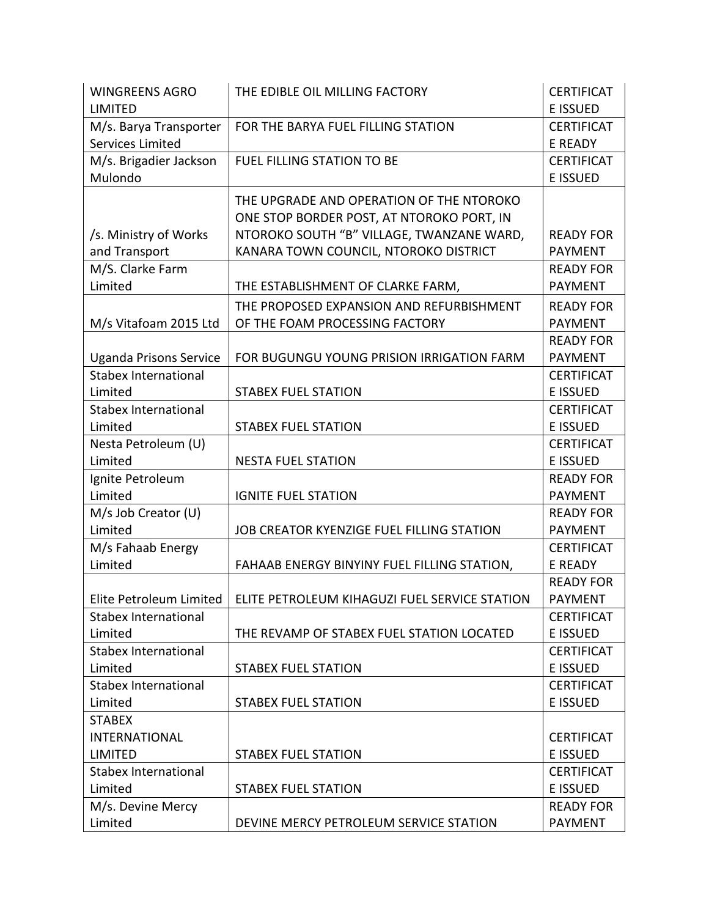| <b>WINGREENS AGRO</b>         | THE EDIBLE OIL MILLING FACTORY                                          | <b>CERTIFICAT</b> |
|-------------------------------|-------------------------------------------------------------------------|-------------------|
| <b>LIMITED</b>                |                                                                         | <b>E ISSUED</b>   |
| M/s. Barya Transporter        | FOR THE BARYA FUEL FILLING STATION                                      | <b>CERTIFICAT</b> |
| Services Limited              |                                                                         | E READY           |
| M/s. Brigadier Jackson        | FUEL FILLING STATION TO BE                                              | <b>CERTIFICAT</b> |
| Mulondo                       |                                                                         | <b>E ISSUED</b>   |
|                               | THE UPGRADE AND OPERATION OF THE NTOROKO                                |                   |
|                               | ONE STOP BORDER POST, AT NTOROKO PORT, IN                               |                   |
| /s. Ministry of Works         | NTOROKO SOUTH "B" VILLAGE, TWANZANE WARD,                               | <b>READY FOR</b>  |
| and Transport                 | KANARA TOWN COUNCIL, NTOROKO DISTRICT                                   | <b>PAYMENT</b>    |
| M/S. Clarke Farm              |                                                                         | <b>READY FOR</b>  |
| Limited                       | THE ESTABLISHMENT OF CLARKE FARM,                                       | <b>PAYMENT</b>    |
|                               | THE PROPOSED EXPANSION AND REFURBISHMENT                                | <b>READY FOR</b>  |
| M/s Vitafoam 2015 Ltd         | OF THE FOAM PROCESSING FACTORY                                          | <b>PAYMENT</b>    |
|                               |                                                                         | <b>READY FOR</b>  |
| <b>Uganda Prisons Service</b> | FOR BUGUNGU YOUNG PRISION IRRIGATION FARM                               | <b>PAYMENT</b>    |
| <b>Stabex International</b>   |                                                                         | <b>CERTIFICAT</b> |
| Limited                       | <b>STABEX FUEL STATION</b>                                              | <b>E ISSUED</b>   |
| <b>Stabex International</b>   |                                                                         | <b>CERTIFICAT</b> |
| Limited                       | <b>STABEX FUEL STATION</b>                                              | E ISSUED          |
| Nesta Petroleum (U)           |                                                                         | <b>CERTIFICAT</b> |
| Limited                       | <b>NESTA FUEL STATION</b>                                               | <b>E ISSUED</b>   |
| Ignite Petroleum              |                                                                         | <b>READY FOR</b>  |
| Limited                       | <b>IGNITE FUEL STATION</b>                                              | <b>PAYMENT</b>    |
| M/s Job Creator (U)           |                                                                         | <b>READY FOR</b>  |
| Limited                       | JOB CREATOR KYENZIGE FUEL FILLING STATION                               | <b>PAYMENT</b>    |
| M/s Fahaab Energy             |                                                                         | <b>CERTIFICAT</b> |
| Limited                       | FAHAAB ENERGY BINYINY FUEL FILLING STATION,                             | E READY           |
|                               |                                                                         | <b>READY FOR</b>  |
|                               | Elite Petroleum Limited   ELITE PETROLEUM KIHAGUZI FUEL SERVICE STATION | <b>PAYMENT</b>    |
| Stabex International          |                                                                         | <b>CERTIFICAT</b> |
| Limited                       | THE REVAMP OF STABEX FUEL STATION LOCATED                               | <b>E ISSUED</b>   |
| <b>Stabex International</b>   |                                                                         | <b>CERTIFICAT</b> |
| Limited                       | <b>STABEX FUEL STATION</b>                                              | E ISSUED          |
| <b>Stabex International</b>   |                                                                         | <b>CERTIFICAT</b> |
| Limited                       | <b>STABEX FUEL STATION</b>                                              | E ISSUED          |
| <b>STABEX</b>                 |                                                                         |                   |
| <b>INTERNATIONAL</b>          |                                                                         | <b>CERTIFICAT</b> |
| <b>LIMITED</b>                | <b>STABEX FUEL STATION</b>                                              | E ISSUED          |
| <b>Stabex International</b>   |                                                                         | <b>CERTIFICAT</b> |
| Limited                       | <b>STABEX FUEL STATION</b>                                              | <b>E ISSUED</b>   |
| M/s. Devine Mercy             |                                                                         | <b>READY FOR</b>  |
| Limited                       | DEVINE MERCY PETROLEUM SERVICE STATION                                  | <b>PAYMENT</b>    |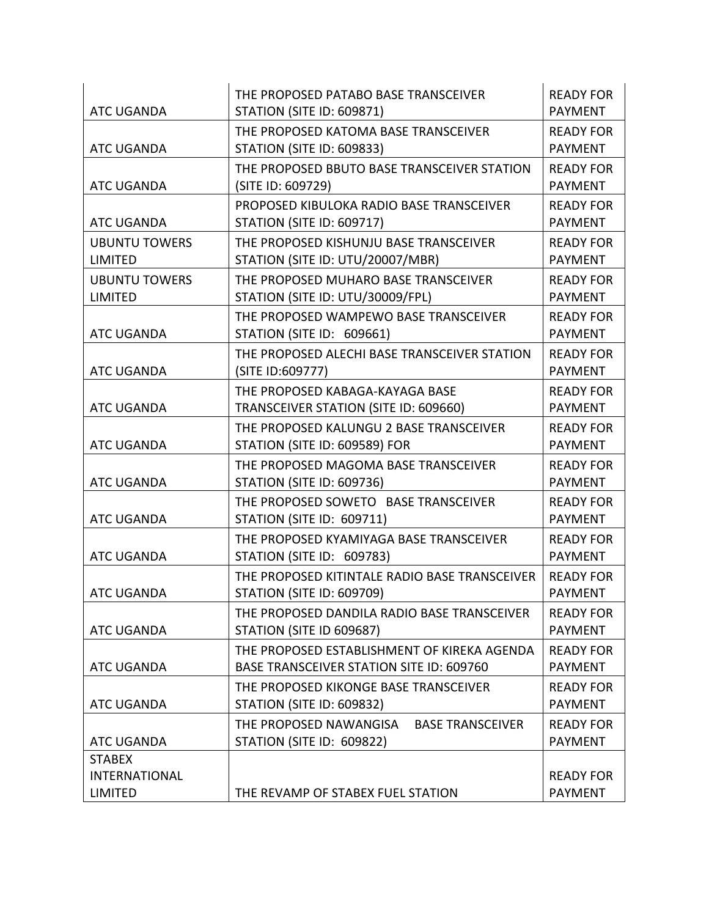| <b>ATC UGANDA</b>                                       | THE PROPOSED PATABO BASE TRANSCEIVER<br><b>STATION (SITE ID: 609871)</b>                       | <b>READY FOR</b><br><b>PAYMENT</b> |
|---------------------------------------------------------|------------------------------------------------------------------------------------------------|------------------------------------|
| <b>ATC UGANDA</b>                                       | THE PROPOSED KATOMA BASE TRANSCEIVER<br><b>STATION (SITE ID: 609833)</b>                       | <b>READY FOR</b><br><b>PAYMENT</b> |
| <b>ATC UGANDA</b>                                       | THE PROPOSED BBUTO BASE TRANSCEIVER STATION<br>(SITE ID: 609729)                               | <b>READY FOR</b><br><b>PAYMENT</b> |
| <b>ATC UGANDA</b>                                       | PROPOSED KIBULOKA RADIO BASE TRANSCEIVER<br><b>STATION (SITE ID: 609717)</b>                   | <b>READY FOR</b><br><b>PAYMENT</b> |
| <b>UBUNTU TOWERS</b><br><b>LIMITED</b>                  | THE PROPOSED KISHUNJU BASE TRANSCEIVER<br>STATION (SITE ID: UTU/20007/MBR)                     | <b>READY FOR</b><br><b>PAYMENT</b> |
| <b>UBUNTU TOWERS</b><br><b>LIMITED</b>                  | THE PROPOSED MUHARO BASE TRANSCEIVER<br>STATION (SITE ID: UTU/30009/FPL)                       | <b>READY FOR</b><br><b>PAYMENT</b> |
| <b>ATC UGANDA</b>                                       | THE PROPOSED WAMPEWO BASE TRANSCEIVER<br>STATION (SITE ID: 609661)                             | <b>READY FOR</b><br><b>PAYMENT</b> |
| <b>ATC UGANDA</b>                                       | THE PROPOSED ALECHI BASE TRANSCEIVER STATION<br>(SITE ID:609777)                               | <b>READY FOR</b><br><b>PAYMENT</b> |
| <b>ATC UGANDA</b>                                       | THE PROPOSED KABAGA-KAYAGA BASE<br>TRANSCEIVER STATION (SITE ID: 609660)                       | <b>READY FOR</b><br><b>PAYMENT</b> |
| <b>ATC UGANDA</b>                                       | THE PROPOSED KALUNGU 2 BASE TRANSCEIVER<br>STATION (SITE ID: 609589) FOR                       | <b>READY FOR</b><br><b>PAYMENT</b> |
| <b>ATC UGANDA</b>                                       | THE PROPOSED MAGOMA BASE TRANSCEIVER<br><b>STATION (SITE ID: 609736)</b>                       | <b>READY FOR</b><br><b>PAYMENT</b> |
| <b>ATC UGANDA</b>                                       | THE PROPOSED SOWETO BASE TRANSCEIVER<br><b>STATION (SITE ID: 609711)</b>                       | <b>READY FOR</b><br><b>PAYMENT</b> |
| <b>ATC UGANDA</b>                                       | THE PROPOSED KYAMIYAGA BASE TRANSCEIVER<br>STATION (SITE ID: 609783)                           | <b>READY FOR</b><br><b>PAYMENT</b> |
| <b>ATC UGANDA</b>                                       | THE PROPOSED KITINTALE RADIO BASE TRANSCEIVER<br><b>STATION (SITE ID: 609709)</b>              | <b>READY FOR</b><br><b>PAYMENT</b> |
| <b>ATC UGANDA</b>                                       | THE PROPOSED DANDILA RADIO BASE TRANSCEIVER<br>STATION (SITE ID 609687)                        | <b>READY FOR</b><br><b>PAYMENT</b> |
| <b>ATC UGANDA</b>                                       | THE PROPOSED ESTABLISHMENT OF KIREKA AGENDA<br><b>BASE TRANSCEIVER STATION SITE ID: 609760</b> | <b>READY FOR</b><br><b>PAYMENT</b> |
| <b>ATC UGANDA</b>                                       | THE PROPOSED KIKONGE BASE TRANSCEIVER<br><b>STATION (SITE ID: 609832)</b>                      | <b>READY FOR</b><br><b>PAYMENT</b> |
| <b>ATC UGANDA</b>                                       | THE PROPOSED NAWANGISA<br><b>BASE TRANSCEIVER</b><br>STATION (SITE ID: 609822)                 | <b>READY FOR</b><br><b>PAYMENT</b> |
| <b>STABEX</b><br><b>INTERNATIONAL</b><br><b>LIMITED</b> | THE REVAMP OF STABEX FUEL STATION                                                              | <b>READY FOR</b><br><b>PAYMENT</b> |